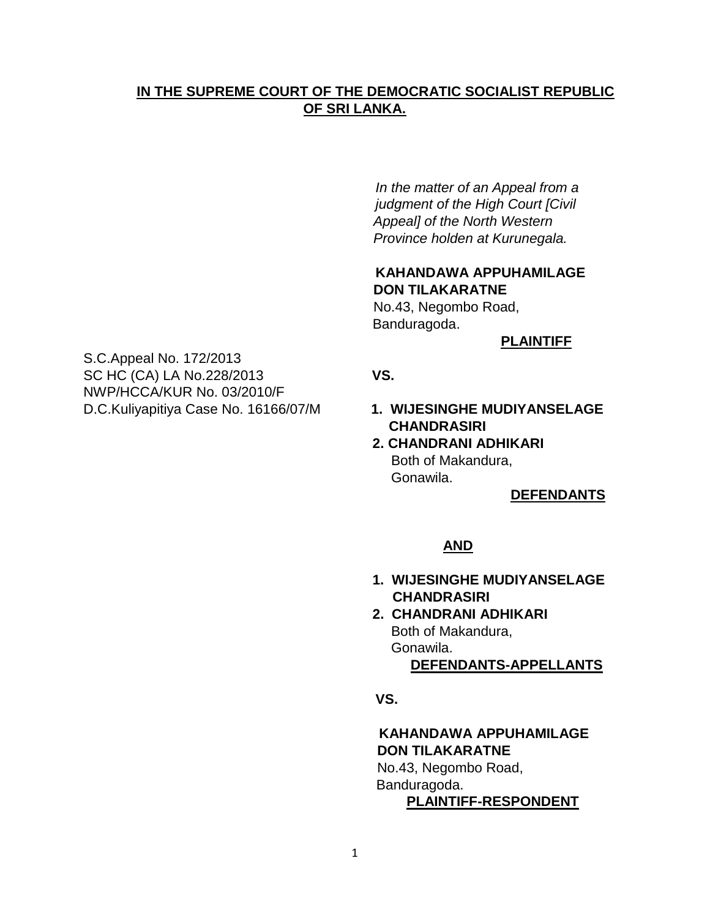## **IN THE SUPREME COURT OF THE DEMOCRATIC SOCIALIST REPUBLIC OF SRI LANKA.**

*In the matter of an Appeal from a judgment of the High Court [Civil Appeal] of the North Western Province holden at Kurunegala.* 

## **KAHANDAWA APPUHAMILAGE DON TILAKARATNE**

 No.43, Negombo Road, Banduragoda.

**PLAINTIFF**

SC HC (CA) LA No.228/2013 **VS.** 

- **CHANDRASIRI**
- **2. CHANDRANI ADHIKARI**  Both of Makandura, Gonawila.

#### **DEFENDANTS**

#### **AND**

- **1. WIJESINGHE MUDIYANSELAGE CHANDRASIRI**
- **2. CHANDRANI ADHIKARI**  Both of Makandura, Gonawila.  **DEFENDANTS-APPELLANTS**
- **VS.**

### **KAHANDAWA APPUHAMILAGE DON TILAKARATNE**

 No.43, Negombo Road, Banduragoda.  **PLAINTIFF-RESPONDENT**

NWP/HCCA/KUR No. 03/2010/F D.C.Kuliyapitiya Case No. 16166/07/M **1. WIJESINGHE MUDIYANSELAGE** 

S.C.Appeal No. 172/2013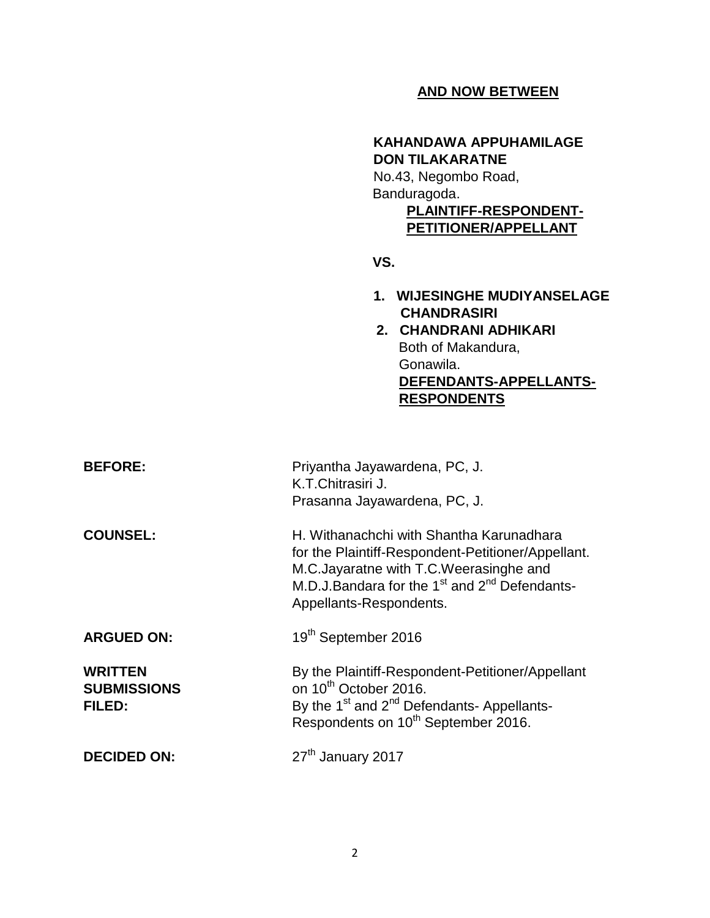## **AND NOW BETWEEN**

# **KAHANDAWA APPUHAMILAGE DON TILAKARATNE**

 No.43, Negombo Road, Banduragoda.  **PLAINTIFF-RESPONDENT- PETITIONER/APPELLANT**

**VS.**

- **1. WIJESINGHE MUDIYANSELAGE CHANDRASIRI**
- **2. CHANDRANI ADHIKARI**  Both of Makandura, Gonawila.  **DEFENDANTS-APPELLANTS- RESPONDENTS**

| <b>BEFORE:</b>                                 | Priyantha Jayawardena, PC, J.<br>K.T.Chitrasiri J.<br>Prasanna Jayawardena, PC, J.                                                                                                                                                           |
|------------------------------------------------|----------------------------------------------------------------------------------------------------------------------------------------------------------------------------------------------------------------------------------------------|
| <b>COUNSEL:</b>                                | H. Withanachchi with Shantha Karunadhara<br>for the Plaintiff-Respondent-Petitioner/Appellant.<br>M.C.Jayaratne with T.C.Weerasinghe and<br>M.D.J.Bandara for the 1 <sup>st</sup> and 2 <sup>nd</sup> Defendants-<br>Appellants-Respondents. |
| <b>ARGUED ON:</b>                              | 19 <sup>th</sup> September 2016                                                                                                                                                                                                              |
| <b>WRITTEN</b><br><b>SUBMISSIONS</b><br>FILED: | By the Plaintiff-Respondent-Petitioner/Appellant<br>on 10 <sup>th</sup> October 2016.<br>By the 1 <sup>st</sup> and 2 <sup>nd</sup> Defendants- Appellants-<br>Respondents on 10 <sup>th</sup> September 2016.                               |
| <b>DECIDED ON:</b>                             | 27 <sup>th</sup> January 2017                                                                                                                                                                                                                |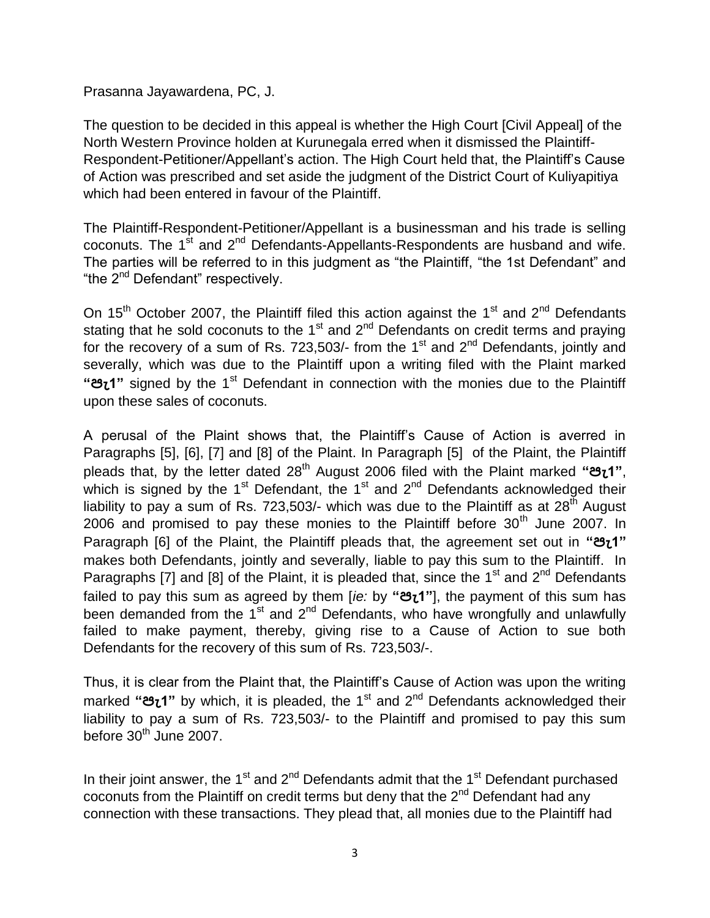Prasanna Jayawardena, PC, J.

The question to be decided in this appeal is whether the High Court [Civil Appeal] of the North Western Province holden at Kurunegala erred when it dismissed the Plaintiff-Respondent-Petitioner/Appellant"s action. The High Court held that, the Plaintiff"s Cause of Action was prescribed and set aside the judgment of the District Court of Kuliyapitiya which had been entered in favour of the Plaintiff.

The Plaintiff-Respondent-Petitioner/Appellant is a businessman and his trade is selling coconuts. The  $1<sup>st</sup>$  and  $2<sup>nd</sup>$  Defendants-Appellants-Respondents are husband and wife. The parties will be referred to in this judgment as "the Plaintiff, "the 1st Defendant" and "the 2<sup>nd</sup> Defendant" respectively.

On 15<sup>th</sup> October 2007, the Plaintiff filed this action against the 1<sup>st</sup> and 2<sup>nd</sup> Defendants stating that he sold coconuts to the 1<sup>st</sup> and  $2<sup>nd</sup>$  Defendants on credit terms and praying for the recovery of a sum of Rs. 723,503/- from the  $1<sup>st</sup>$  and  $2<sup>nd</sup>$  Defendants, jointly and severally, which was due to the Plaintiff upon a writing filed with the Plaint marked **"පැ1"** signed by the 1st Defendant in connection with the monies due to the Plaintiff upon these sales of coconuts.

A perusal of the Plaint shows that, the Plaintiff"s Cause of Action is averred in Paragraphs [5], [6], [7] and [8] of the Plaint. In Paragraph [5] of the Plaint, the Plaintiff pleads that, by the letter dated 28th August 2006 filed with the Plaint marked **"පැ1"**, which is signed by the  $1<sup>st</sup>$  Defendant, the  $1<sup>st</sup>$  and  $2<sup>nd</sup>$  Defendants acknowledged their liability to pay a sum of Rs. 723,503/- which was due to the Plaintiff as at  $28^{th}$  August 2006 and promised to pay these monies to the Plaintiff before  $30<sup>th</sup>$  June 2007. In Paragraph [6] of the Plaint, the Plaintiff pleads that, the agreement set out in **"පැ1"**  makes both Defendants, jointly and severally, liable to pay this sum to the Plaintiff. In Paragraphs [7] and [8] of the Plaint, it is pleaded that, since the  $1<sup>st</sup>$  and  $2<sup>nd</sup>$  Defendants failed to pay this sum as agreed by them [*ie:* by **"පැ1"**], the payment of this sum has been demanded from the 1<sup>st</sup> and 2<sup>nd</sup> Defendants, who have wrongfully and unlawfully failed to make payment, thereby, giving rise to a Cause of Action to sue both Defendants for the recovery of this sum of Rs. 723,503/-.

Thus, it is clear from the Plaint that, the Plaintiff"s Cause of Action was upon the writing marked **"පැ1"** by which, it is pleaded, the 1st and 2nd Defendants acknowledged their liability to pay a sum of Rs. 723,503/- to the Plaintiff and promised to pay this sum before  $30<sup>th</sup>$  June 2007.

In their joint answer, the 1<sup>st</sup> and 2<sup>nd</sup> Defendants admit that the 1<sup>st</sup> Defendant purchased coconuts from the Plaintiff on credit terms but deny that the  $2^{nd}$  Defendant had any connection with these transactions. They plead that, all monies due to the Plaintiff had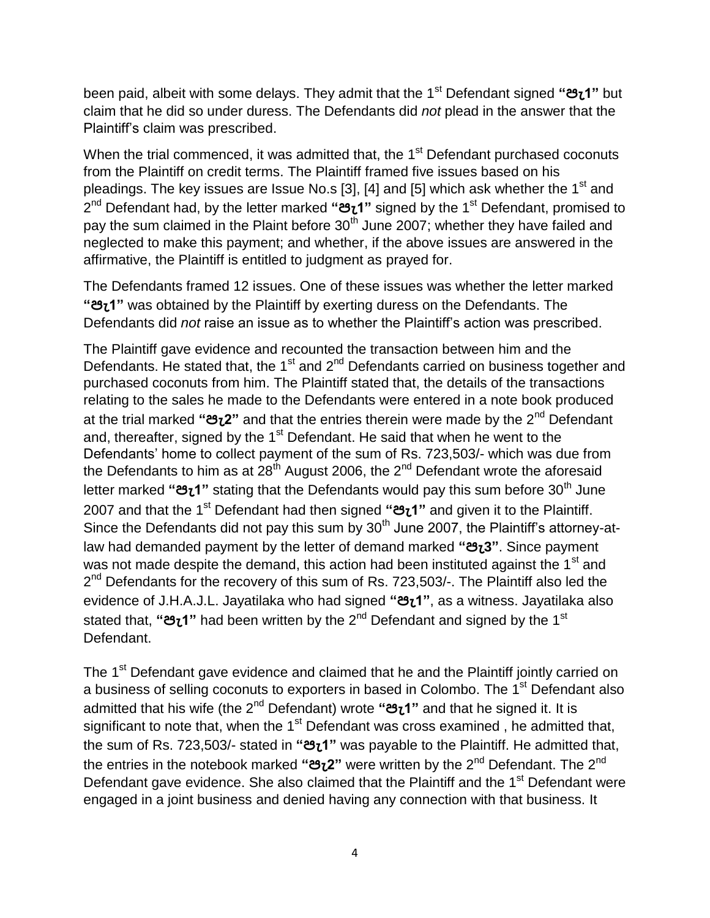been paid, albeit with some delays. They admit that the 1st Defendant signed **"පැ1"** but claim that he did so under duress. The Defendants did *not* plead in the answer that the Plaintiff"s claim was prescribed.

When the trial commenced, it was admitted that, the 1<sup>st</sup> Defendant purchased coconuts from the Plaintiff on credit terms. The Plaintiff framed five issues based on his pleadings. The key issues are Issue No.s [3], [4] and [5] which ask whether the  $1<sup>st</sup>$  and 2 nd Defendant had, by the letter marked **"පැ1"** signed by the 1st Defendant, promised to pay the sum claimed in the Plaint before 30<sup>th</sup> June 2007; whether they have failed and neglected to make this payment; and whether, if the above issues are answered in the affirmative, the Plaintiff is entitled to judgment as prayed for.

The Defendants framed 12 issues. One of these issues was whether the letter marked **"පැ1"** was obtained by the Plaintiff by exerting duress on the Defendants. The Defendants did *not* raise an issue as to whether the Plaintiff"s action was prescribed.

The Plaintiff gave evidence and recounted the transaction between him and the Defendants. He stated that, the 1<sup>st</sup> and  $2^{nd}$  Defendants carried on business together and purchased coconuts from him. The Plaintiff stated that, the details of the transactions relating to the sales he made to the Defendants were entered in a note book produced at the trial marked **"පැ2"** and that the entries therein were made by the 2nd Defendant and, thereafter, signed by the 1<sup>st</sup> Defendant. He said that when he went to the Defendants' home to collect payment of the sum of Rs. 723,503/- which was due from the Defendants to him as at  $28^{th}$  August 2006, the  $2^{nd}$  Defendant wrote the aforesaid letter marked "**පැ1**" stating that the Defendants would pay this sum before 30<sup>th</sup> June 2007 and that the 1 st Defendant had then signed **"පැ1"** and given it to the Plaintiff. Since the Defendants did not pay this sum by  $30<sup>th</sup>$  June 2007, the Plaintiff's attorney-atlaw had demanded payment by the letter of demand marked **"පැ3"**. Since payment was not made despite the demand, this action had been instituted against the 1<sup>st</sup> and 2<sup>nd</sup> Defendants for the recovery of this sum of Rs. 723,503/-. The Plaintiff also led the evidence of J.H.A.J.L. Jayatilaka who had signed **"පැ1"**, as a witness. Jayatilaka also stated that, **"පැ1"** had been written by the 2nd Defendant and signed by the 1st Defendant.

The 1<sup>st</sup> Defendant gave evidence and claimed that he and the Plaintiff jointly carried on a business of selling coconuts to exporters in based in Colombo. The 1<sup>st</sup> Defendant also admitted that his wife (the 2nd Defendant) wrote **"පැ1"** and that he signed it. It is significant to note that, when the  $1<sup>st</sup>$  Defendant was cross examined, he admitted that, the sum of Rs. 723,503/- stated in **"පැ1"** was payable to the Plaintiff. He admitted that, the entries in the notebook marked **"පැ2"** were written by the 2nd Defendant. The 2nd Defendant gave evidence. She also claimed that the Plaintiff and the 1<sup>st</sup> Defendant were engaged in a joint business and denied having any connection with that business. It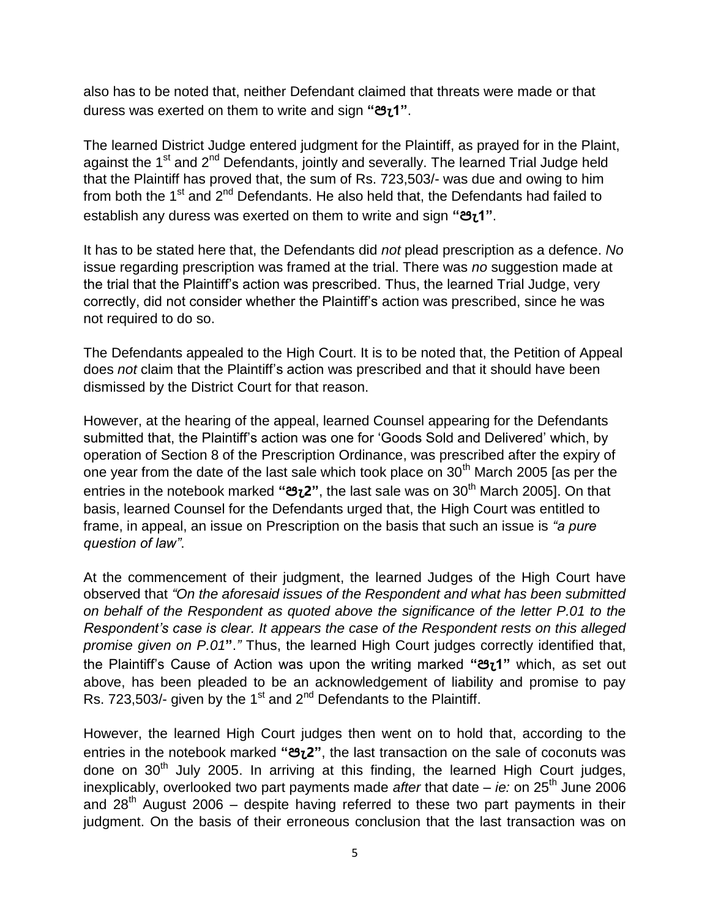also has to be noted that, neither Defendant claimed that threats were made or that duress was exerted on them to write and sign **"පැ1"**.

The learned District Judge entered judgment for the Plaintiff, as prayed for in the Plaint, against the  $1<sup>st</sup>$  and  $2<sup>nd</sup>$  Defendants, jointly and severally. The learned Trial Judge held that the Plaintiff has proved that, the sum of Rs. 723,503/- was due and owing to him from both the  $1<sup>st</sup>$  and  $2<sup>nd</sup>$  Defendants. He also held that, the Defendants had failed to establish any duress was exerted on them to write and sign **"පැ1"**.

It has to be stated here that, the Defendants did *not* plead prescription as a defence. *No* issue regarding prescription was framed at the trial. There was *no* suggestion made at the trial that the Plaintiff"s action was prescribed. Thus, the learned Trial Judge, very correctly, did not consider whether the Plaintiff"s action was prescribed, since he was not required to do so.

The Defendants appealed to the High Court. It is to be noted that, the Petition of Appeal does *not* claim that the Plaintiff"s action was prescribed and that it should have been dismissed by the District Court for that reason.

However, at the hearing of the appeal, learned Counsel appearing for the Defendants submitted that, the Plaintiff's action was one for 'Goods Sold and Delivered' which, by operation of Section 8 of the Prescription Ordinance, was prescribed after the expiry of one year from the date of the last sale which took place on  $30<sup>th</sup>$  March 2005 [as per the entries in the notebook marked **"පැ2"**, the last sale was on 30th March 2005]. On that basis, learned Counsel for the Defendants urged that, the High Court was entitled to frame, in appeal, an issue on Prescription on the basis that such an issue is *"a pure question of law"*.

At the commencement of their judgment, the learned Judges of the High Court have observed that *"On the aforesaid issues of the Respondent and what has been submitted on behalf of the Respondent as quoted above the significance of the letter P.01 to the Respondent's case is clear. It appears the case of the Respondent rests on this alleged promise given on P.01***"**.*"* Thus, the learned High Court judges correctly identified that, the Plaintiff"s Cause of Action was upon the writing marked **"පැ1"** which, as set out above, has been pleaded to be an acknowledgement of liability and promise to pay Rs. 723,503/- given by the 1 $st$  and 2<sup>nd</sup> Defendants to the Plaintiff.

However, the learned High Court judges then went on to hold that, according to the entries in the notebook marked **"පැ2"**, the last transaction on the sale of coconuts was done on  $30<sup>th</sup>$  July 2005. In arriving at this finding, the learned High Court judges, inexplicably, overlooked two part payments made *after* that date – *ie:* on 25<sup>th</sup> June 2006 and  $28<sup>th</sup>$  August 2006 – despite having referred to these two part payments in their judgment. On the basis of their erroneous conclusion that the last transaction was on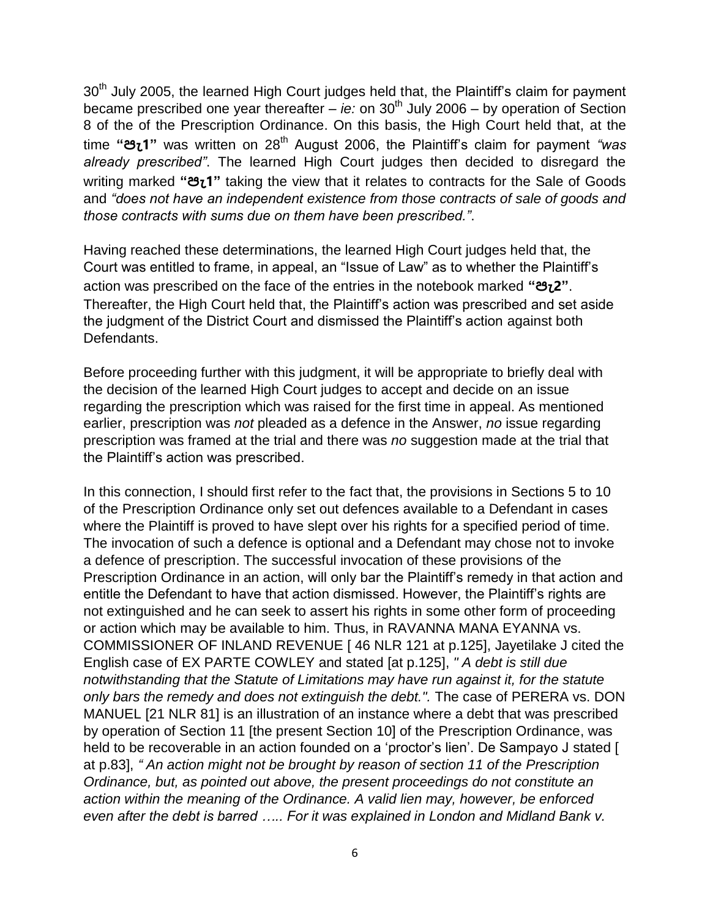30<sup>th</sup> July 2005, the learned High Court judges held that, the Plaintiff's claim for payment became prescribed one year thereafter – *ie:* on 30<sup>th</sup> July 2006 – by operation of Section 8 of the of the Prescription Ordinance. On this basis, the High Court held that, at the time **"පැ1"** was written on 28th August 2006, the Plaintiff"s claim for payment *"was already prescribed"*. The learned High Court judges then decided to disregard the writing marked **"පැ1"** taking the view that it relates to contracts for the Sale of Goods and *"does not have an independent existence from those contracts of sale of goods and those contracts with sums due on them have been prescribed."*.

Having reached these determinations, the learned High Court judges held that, the Court was entitled to frame, in appeal, an "Issue of Law" as to whether the Plaintiff"s action was prescribed on the face of the entries in the notebook marked **"පැ2"**. Thereafter, the High Court held that, the Plaintiff"s action was prescribed and set aside the judgment of the District Court and dismissed the Plaintiff"s action against both Defendants.

Before proceeding further with this judgment, it will be appropriate to briefly deal with the decision of the learned High Court judges to accept and decide on an issue regarding the prescription which was raised for the first time in appeal. As mentioned earlier, prescription was *not* pleaded as a defence in the Answer, *no* issue regarding prescription was framed at the trial and there was *no* suggestion made at the trial that the Plaintiff"s action was prescribed.

In this connection, I should first refer to the fact that, the provisions in Sections 5 to 10 of the Prescription Ordinance only set out defences available to a Defendant in cases where the Plaintiff is proved to have slept over his rights for a specified period of time. The invocation of such a defence is optional and a Defendant may chose not to invoke a defence of prescription. The successful invocation of these provisions of the Prescription Ordinance in an action, will only bar the Plaintiff"s remedy in that action and entitle the Defendant to have that action dismissed. However, the Plaintiff's rights are not extinguished and he can seek to assert his rights in some other form of proceeding or action which may be available to him. Thus, in RAVANNA MANA EYANNA vs. COMMISSIONER OF INLAND REVENUE [ 46 NLR 121 at p.125], Jayetilake J cited the English case of EX PARTE COWLEY and stated [at p.125], *" A debt is still due notwithstanding that the Statute of Limitations may have run against it, for the statute only bars the remedy and does not extinguish the debt.".* The case of PERERA vs. DON MANUEL [21 NLR 81] is an illustration of an instance where a debt that was prescribed by operation of Section 11 [the present Section 10] of the Prescription Ordinance, was held to be recoverable in an action founded on a 'proctor's lien'. De Sampayo J stated [ at p.83], *" An action might not be brought by reason of section 11 of the Prescription Ordinance, but, as pointed out above, the present proceedings do not constitute an action within the meaning of the Ordinance. A valid lien may, however, be enforced even after the debt is barred ….. For it was explained in London and Midland Bank v.*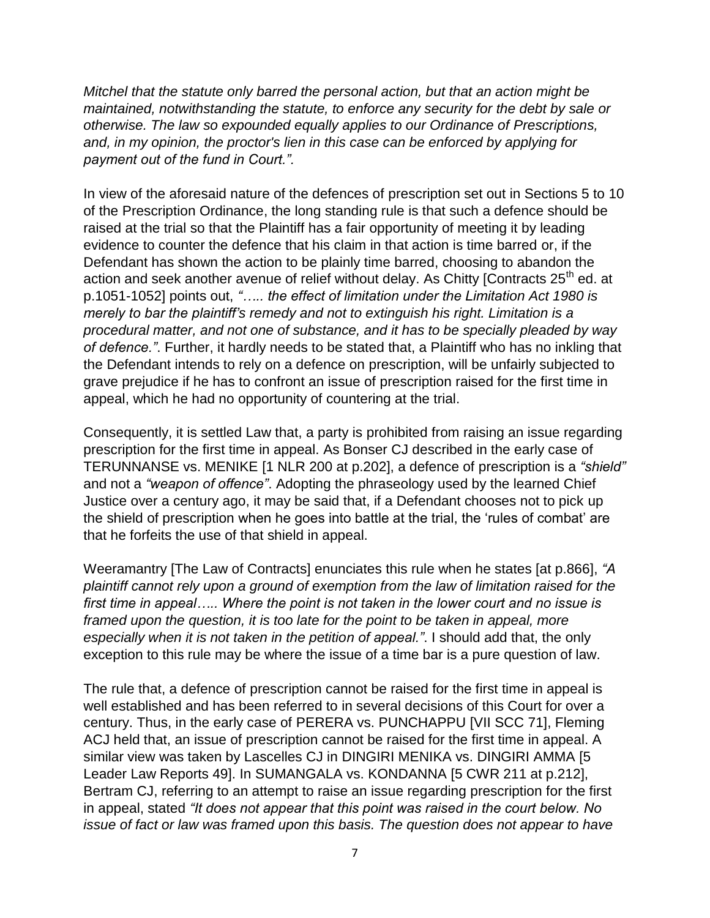*Mitchel that the statute only barred the personal action, but that an action might be maintained, notwithstanding the statute, to enforce any security for the debt by sale or otherwise. The law so expounded equally applies to our Ordinance of Prescriptions, and, in my opinion, the proctor's lien in this case can be enforced by applying for payment out of the fund in Court.".*

In view of the aforesaid nature of the defences of prescription set out in Sections 5 to 10 of the Prescription Ordinance, the long standing rule is that such a defence should be raised at the trial so that the Plaintiff has a fair opportunity of meeting it by leading evidence to counter the defence that his claim in that action is time barred or, if the Defendant has shown the action to be plainly time barred, choosing to abandon the action and seek another avenue of relief without delay. As Chitty  $[Contrack 25<sup>th</sup>$  ed. at p.1051-1052] points out, *"….. the effect of limitation under the Limitation Act 1980 is merely to bar the plaintiff's remedy and not to extinguish his right. Limitation is a procedural matter, and not one of substance, and it has to be specially pleaded by way of defence."*. Further, it hardly needs to be stated that, a Plaintiff who has no inkling that the Defendant intends to rely on a defence on prescription, will be unfairly subjected to grave prejudice if he has to confront an issue of prescription raised for the first time in appeal, which he had no opportunity of countering at the trial.

Consequently, it is settled Law that, a party is prohibited from raising an issue regarding prescription for the first time in appeal. As Bonser CJ described in the early case of TERUNNANSE vs. MENIKE [1 NLR 200 at p.202], a defence of prescription is a *"shield"* and not a *"weapon of offence"*. Adopting the phraseology used by the learned Chief Justice over a century ago, it may be said that, if a Defendant chooses not to pick up the shield of prescription when he goes into battle at the trial, the "rules of combat" are that he forfeits the use of that shield in appeal.

Weeramantry [The Law of Contracts] enunciates this rule when he states [at p.866], *"A plaintiff cannot rely upon a ground of exemption from the law of limitation raised for the first time in appeal….. Where the point is not taken in the lower court and no issue is*  framed upon the question, it is too late for the point to be taken in appeal, more *especially when it is not taken in the petition of appeal."*. I should add that, the only exception to this rule may be where the issue of a time bar is a pure question of law.

The rule that, a defence of prescription cannot be raised for the first time in appeal is well established and has been referred to in several decisions of this Court for over a century. Thus, in the early case of PERERA vs. PUNCHAPPU [VII SCC 71], Fleming ACJ held that, an issue of prescription cannot be raised for the first time in appeal. A similar view was taken by Lascelles CJ in DINGIRI MENIKA vs. DINGIRI AMMA [5 Leader Law Reports 49]. In SUMANGALA vs. KONDANNA [5 CWR 211 at p.212], Bertram CJ, referring to an attempt to raise an issue regarding prescription for the first in appeal, stated *"It does not appear that this point was raised in the court below. No issue of fact or law was framed upon this basis. The question does not appear to have*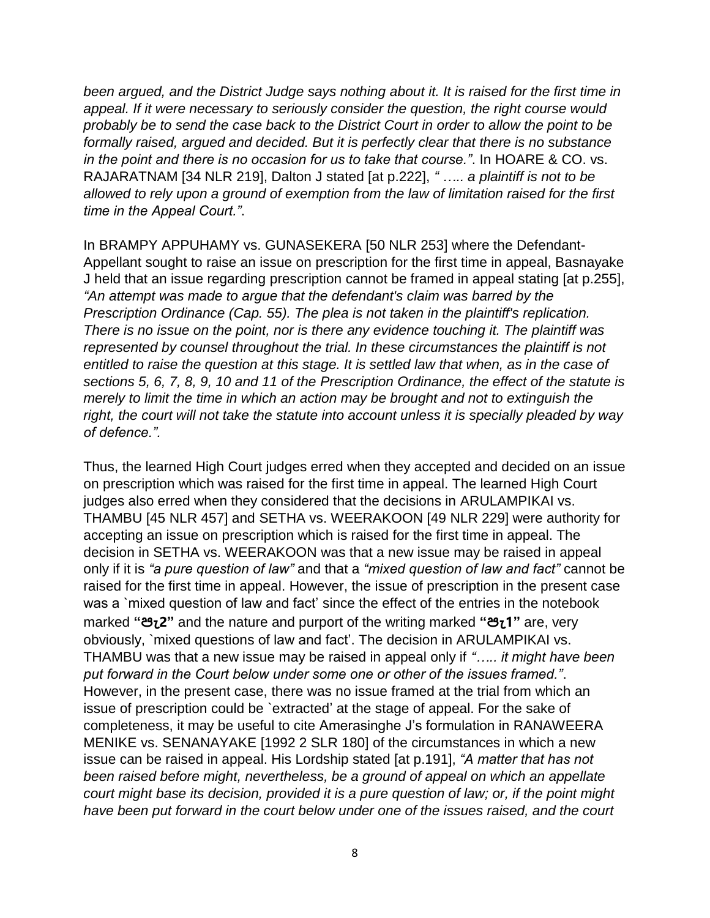*been argued, and the District Judge says nothing about it. It is raised for the first time in appeal. If it were necessary to seriously consider the question, the right course would probably be to send the case back to the District Court in order to allow the point to be formally raised, argued and decided. But it is perfectly clear that there is no substance in the point and there is no occasion for us to take that course."*. In HOARE & CO. vs. RAJARATNAM [34 NLR 219], Dalton J stated [at p.222], *" ….. a plaintiff is not to be allowed to rely upon a ground of exemption from the law of limitation raised for the first time in the Appeal Court."*.

In BRAMPY APPUHAMY vs. GUNASEKERA [50 NLR 253] where the Defendant-Appellant sought to raise an issue on prescription for the first time in appeal, Basnayake J held that an issue regarding prescription cannot be framed in appeal stating [at p.255], *"An attempt was made to argue that the defendant's claim was barred by the Prescription Ordinance (Cap. 55). The plea is not taken in the plaintiff's replication. There is no issue on the point, nor is there any evidence touching it. The plaintiff was represented by counsel throughout the trial. In these circumstances the plaintiff is not entitled to raise the question at this stage. It is settled law that when, as in the case of sections 5, 6, 7, 8, 9, 10 and 11 of the Prescription Ordinance, the effect of the statute is merely to limit the time in which an action may be brought and not to extinguish the right, the court will not take the statute into account unless it is specially pleaded by way of defence.".*

Thus, the learned High Court judges erred when they accepted and decided on an issue on prescription which was raised for the first time in appeal. The learned High Court judges also erred when they considered that the decisions in ARULAMPIKAI vs. THAMBU [45 NLR 457] and SETHA vs. WEERAKOON [49 NLR 229] were authority for accepting an issue on prescription which is raised for the first time in appeal. The decision in SETHA vs. WEERAKOON was that a new issue may be raised in appeal only if it is *"a pure question of law"* and that a *"mixed question of law and fact"* cannot be raised for the first time in appeal. However, the issue of prescription in the present case was a `mixed question of law and fact' since the effect of the entries in the notebook marked **"පැ2"** and the nature and purport of the writing marked **"පැ1"** are, very obviously, `mixed questions of law and fact". The decision in ARULAMPIKAI vs. THAMBU was that a new issue may be raised in appeal only if *"….. it might have been put forward in the Court below under some one or other of the issues framed."*. However, in the present case, there was no issue framed at the trial from which an issue of prescription could be `extracted" at the stage of appeal. For the sake of completeness, it may be useful to cite Amerasinghe J"s formulation in RANAWEERA MENIKE vs. SENANAYAKE [1992 2 SLR 180] of the circumstances in which a new issue can be raised in appeal. His Lordship stated [at p.191], *"A matter that has not been raised before might, nevertheless, be a ground of appeal on which an appellate court might base its decision, provided it is a pure question of law; or, if the point might have been put forward in the court below under one of the issues raised, and the court*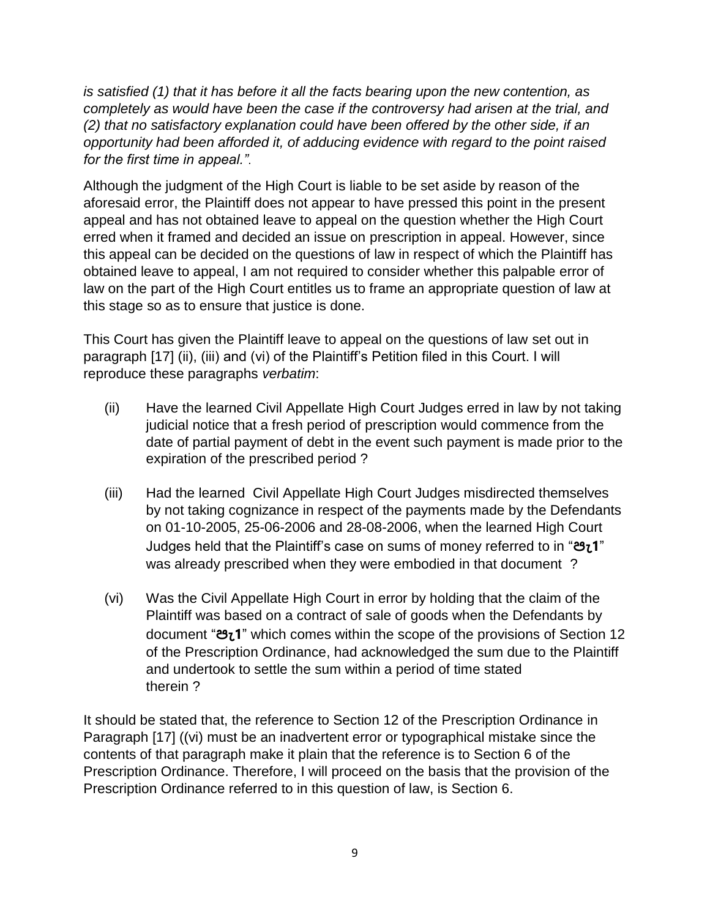*is satisfied (1) that it has before it all the facts bearing upon the new contention, as completely as would have been the case if the controversy had arisen at the trial, and (2) that no satisfactory explanation could have been offered by the other side, if an opportunity had been afforded it, of adducing evidence with regard to the point raised for the first time in appeal."*.

Although the judgment of the High Court is liable to be set aside by reason of the aforesaid error, the Plaintiff does not appear to have pressed this point in the present appeal and has not obtained leave to appeal on the question whether the High Court erred when it framed and decided an issue on prescription in appeal. However, since this appeal can be decided on the questions of law in respect of which the Plaintiff has obtained leave to appeal, I am not required to consider whether this palpable error of law on the part of the High Court entitles us to frame an appropriate question of law at this stage so as to ensure that justice is done.

This Court has given the Plaintiff leave to appeal on the questions of law set out in paragraph [17] (ii), (iii) and (vi) of the Plaintiff's Petition filed in this Court. I will reproduce these paragraphs *verbatim*:

- (ii) Have the learned Civil Appellate High Court Judges erred in law by not taking judicial notice that a fresh period of prescription would commence from the date of partial payment of debt in the event such payment is made prior to the expiration of the prescribed period ?
- (iii) Had the learned Civil Appellate High Court Judges misdirected themselves by not taking cognizance in respect of the payments made by the Defendants on 01-10-2005, 25-06-2006 and 28-08-2006, when the learned High Court Judges held that the Plaintiff"s case on sums of money referred to in "**පැ1**" was already prescribed when they were embodied in that document ?
- (vi) Was the Civil Appellate High Court in error by holding that the claim of the Plaintiff was based on a contract of sale of goods when the Defendants by document "**පැ1**" which comes within the scope of the provisions of Section 12 of the Prescription Ordinance, had acknowledged the sum due to the Plaintiff and undertook to settle the sum within a period of time stated therein ?

It should be stated that, the reference to Section 12 of the Prescription Ordinance in Paragraph [17] ((vi) must be an inadvertent error or typographical mistake since the contents of that paragraph make it plain that the reference is to Section 6 of the Prescription Ordinance. Therefore, I will proceed on the basis that the provision of the Prescription Ordinance referred to in this question of law, is Section 6.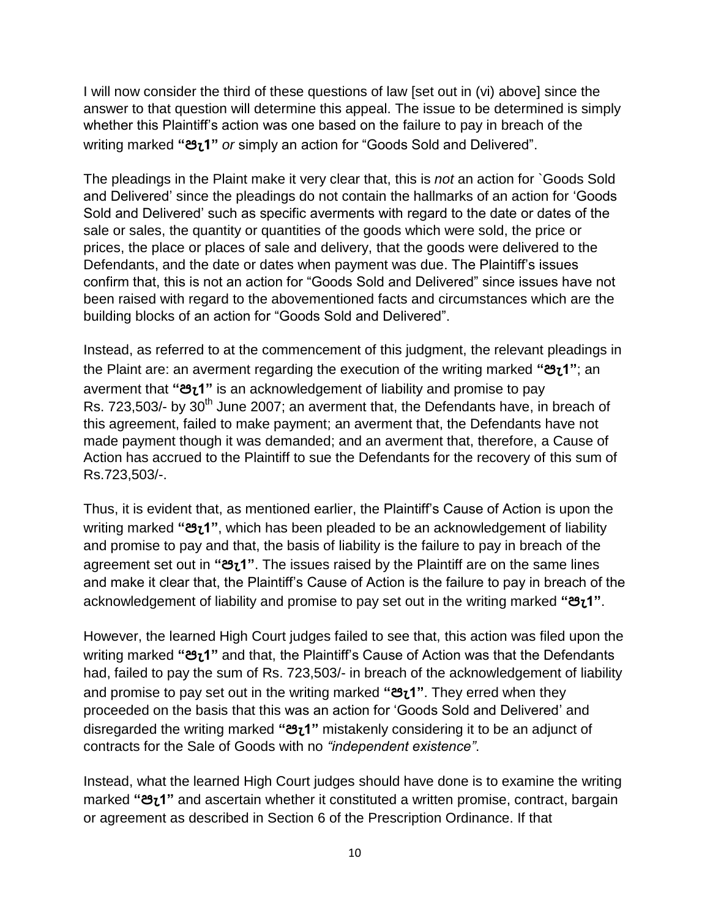I will now consider the third of these questions of law [set out in (vi) above] since the answer to that question will determine this appeal. The issue to be determined is simply whether this Plaintiff"s action was one based on the failure to pay in breach of the writing marked **"පැ1"** *or* simply an action for "Goods Sold and Delivered".

The pleadings in the Plaint make it very clear that, this is *not* an action for `Goods Sold and Delivered" since the pleadings do not contain the hallmarks of an action for "Goods Sold and Delivered" such as specific averments with regard to the date or dates of the sale or sales, the quantity or quantities of the goods which were sold, the price or prices, the place or places of sale and delivery, that the goods were delivered to the Defendants, and the date or dates when payment was due. The Plaintiff's issues confirm that, this is not an action for "Goods Sold and Delivered" since issues have not been raised with regard to the abovementioned facts and circumstances which are the building blocks of an action for "Goods Sold and Delivered".

Instead, as referred to at the commencement of this judgment, the relevant pleadings in the Plaint are: an averment regarding the execution of the writing marked **"පැ1"**; an averment that **"පැ1"** is an acknowledgement of liability and promise to pay Rs. 723,503/- by 30<sup>th</sup> June 2007; an averment that, the Defendants have, in breach of this agreement, failed to make payment; an averment that, the Defendants have not made payment though it was demanded; and an averment that, therefore, a Cause of Action has accrued to the Plaintiff to sue the Defendants for the recovery of this sum of Rs.723,503/-.

Thus, it is evident that, as mentioned earlier, the Plaintiff"s Cause of Action is upon the writing marked **"පැ1"**, which has been pleaded to be an acknowledgement of liability and promise to pay and that, the basis of liability is the failure to pay in breach of the agreement set out in **"පැ1"**. The issues raised by the Plaintiff are on the same lines and make it clear that, the Plaintiff"s Cause of Action is the failure to pay in breach of the acknowledgement of liability and promise to pay set out in the writing marked **"පැ1"**.

However, the learned High Court judges failed to see that, this action was filed upon the writing marked **"පැ1"** and that, the Plaintiff"s Cause of Action was that the Defendants had, failed to pay the sum of Rs. 723,503/- in breach of the acknowledgement of liability and promise to pay set out in the writing marked **"පැ1"**. They erred when they proceeded on the basis that this was an action for "Goods Sold and Delivered" and disregarded the writing marked **"පැ1"** mistakenly considering it to be an adjunct of contracts for the Sale of Goods with no *"independent existence"*.

Instead, what the learned High Court judges should have done is to examine the writing marked **"පැ1"** and ascertain whether it constituted a written promise, contract, bargain or agreement as described in Section 6 of the Prescription Ordinance. If that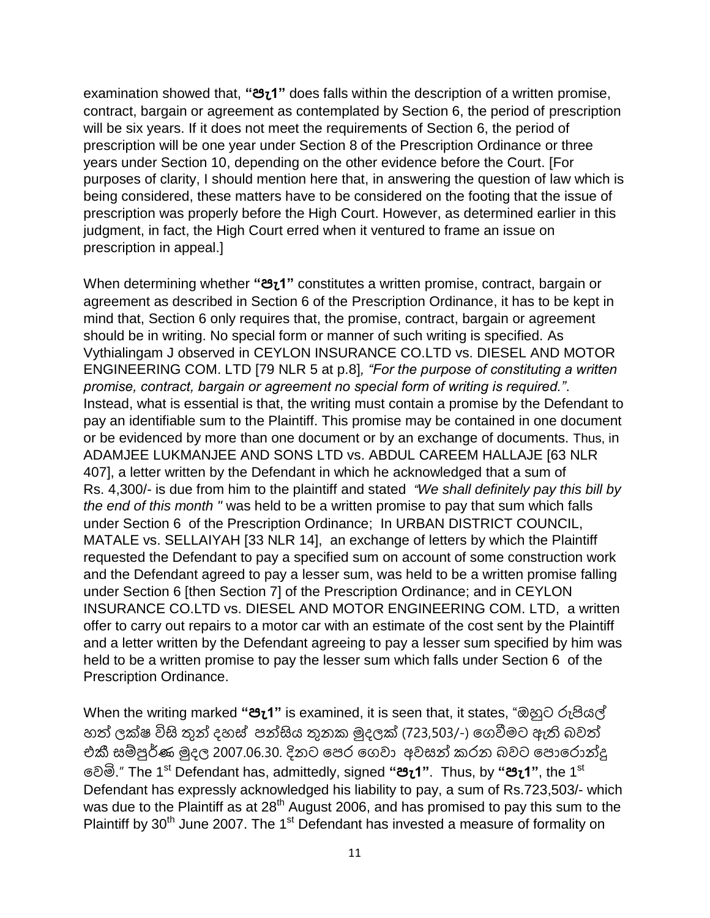examination showed that, **"පැ1"** does falls within the description of a written promise, contract, bargain or agreement as contemplated by Section 6, the period of prescription will be six years. If it does not meet the requirements of Section 6, the period of prescription will be one year under Section 8 of the Prescription Ordinance or three years under Section 10, depending on the other evidence before the Court. [For purposes of clarity, I should mention here that, in answering the question of law which is being considered, these matters have to be considered on the footing that the issue of prescription was properly before the High Court. However, as determined earlier in this judgment, in fact, the High Court erred when it ventured to frame an issue on prescription in appeal.]

When determining whether **"පැ1"** constitutes a written promise, contract, bargain or agreement as described in Section 6 of the Prescription Ordinance, it has to be kept in mind that, Section 6 only requires that, the promise, contract, bargain or agreement should be in writing. No special form or manner of such writing is specified. As Vythialingam J observed in CEYLON INSURANCE CO.LTD vs. DIESEL AND MOTOR ENGINEERING COM. LTD [79 NLR 5 at p.8]*, "For the purpose of constituting a written promise, contract, bargain or agreement no special form of writing is required."*. Instead, what is essential is that, the writing must contain a promise by the Defendant to pay an identifiable sum to the Plaintiff. This promise may be contained in one document or be evidenced by more than one document or by an exchange of documents. Thus, in ADAMJEE LUKMANJEE AND SONS LTD vs. ABDUL CAREEM HALLAJE [63 NLR 407], a letter written by the Defendant in which he acknowledged that a sum of Rs. 4,300/- is due from him to the plaintiff and stated *"We shall definitely pay this bill by the end of this month "* was held to be a written promise to pay that sum which falls under Section 6 of the Prescription Ordinance; In URBAN DISTRICT COUNCIL, MATALE vs. SELLAIYAH [33 NLR 14], an exchange of letters by which the Plaintiff requested the Defendant to pay a specified sum on account of some construction work and the Defendant agreed to pay a lesser sum, was held to be a written promise falling under Section 6 [then Section 7] of the Prescription Ordinance; and in CEYLON INSURANCE CO.LTD vs. DIESEL AND MOTOR ENGINEERING COM. LTD, a written offer to carry out repairs to a motor car with an estimate of the cost sent by the Plaintiff and a letter written by the Defendant agreeing to pay a lesser sum specified by him was held to be a written promise to pay the lesser sum which falls under Section 6 of the Prescription Ordinance.

When the writing marked **"පැ1"** is examined, it is seen that, it states, "ඔහුට රුපියල් හත් ලක්ෂ විසි තුන් දහස් පන්සිය තුනක මුදලක් (723,503/-) ගෙවීමට ඇති බවත් එකී සම්පුර්ණ මුදල 2007.06.30. දිනට ගපර ගෙවා අවසන් කරන බවට ගපොගරොන්දු ගවමි." The 1st Defendant has, admittedly, signed **"පැ1"**. Thus, by **"පැ1"**, the 1st Defendant has expressly acknowledged his liability to pay, a sum of Rs.723,503/- which was due to the Plaintiff as at 28<sup>th</sup> August 2006, and has promised to pay this sum to the Plaintiff by 30<sup>th</sup> June 2007. The 1<sup>st</sup> Defendant has invested a measure of formality on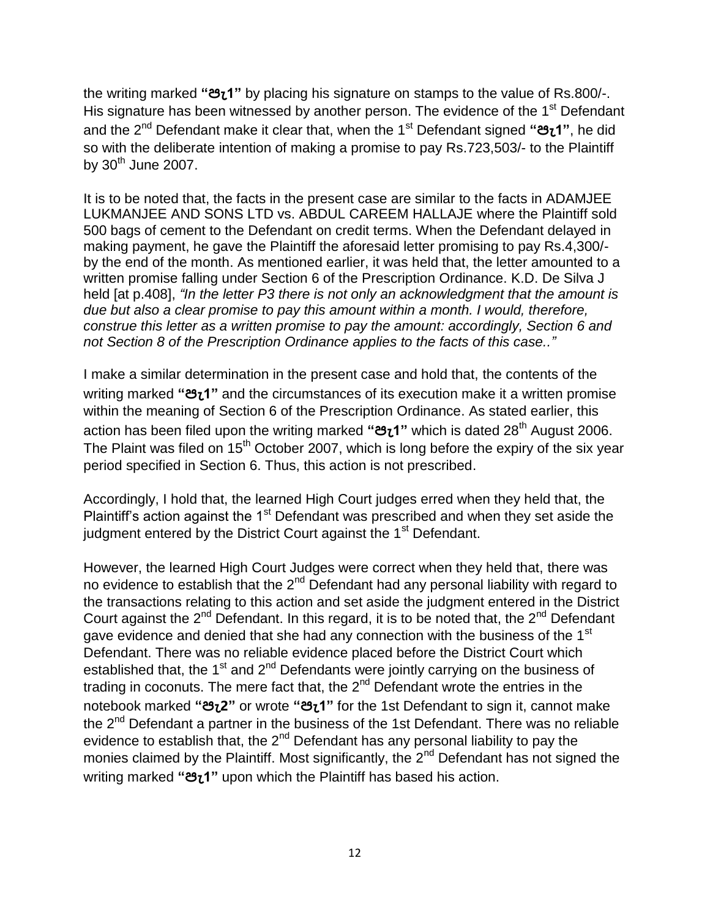the writing marked **"පැ1"** by placing his signature on stamps to the value of Rs.800/-. His signature has been witnessed by another person. The evidence of the 1<sup>st</sup> Defendant and the 2nd Defendant make it clear that, when the 1st Defendant signed **"පැ1"**, he did so with the deliberate intention of making a promise to pay Rs.723,503/- to the Plaintiff by 30th June 2007.

It is to be noted that, the facts in the present case are similar to the facts in ADAMJEE LUKMANJEE AND SONS LTD vs. ABDUL CAREEM HALLAJE where the Plaintiff sold 500 bags of cement to the Defendant on credit terms. When the Defendant delayed in making payment, he gave the Plaintiff the aforesaid letter promising to pay Rs.4,300/ by the end of the month. As mentioned earlier, it was held that, the letter amounted to a written promise falling under Section 6 of the Prescription Ordinance. K.D. De Silva J held [at p.408], *"In the letter P3 there is not only an acknowledgment that the amount is due but also a clear promise to pay this amount within a month. I would, therefore, construe this letter as a written promise to pay the amount: accordingly, Section 6 and not Section 8 of the Prescription Ordinance applies to the facts of this case.."*

I make a similar determination in the present case and hold that, the contents of the writing marked **"පැ1"** and the circumstances of its execution make it a written promise within the meaning of Section 6 of the Prescription Ordinance. As stated earlier, this action has been filed upon the writing marked **"පැ1"** which is dated 28th August 2006. The Plaint was filed on  $15<sup>th</sup>$  October 2007, which is long before the expiry of the six year period specified in Section 6. Thus, this action is not prescribed.

Accordingly, I hold that, the learned High Court judges erred when they held that, the Plaintiff's action against the 1<sup>st</sup> Defendant was prescribed and when they set aside the judgment entered by the District Court against the 1<sup>st</sup> Defendant.

However, the learned High Court Judges were correct when they held that, there was no evidence to establish that the  $2<sup>nd</sup>$  Defendant had any personal liability with regard to the transactions relating to this action and set aside the judgment entered in the District Court against the  $2^{nd}$  Defendant. In this regard, it is to be noted that, the  $2^{nd}$  Defendant gave evidence and denied that she had any connection with the business of the 1<sup>st</sup> Defendant. There was no reliable evidence placed before the District Court which established that, the 1<sup>st</sup> and  $2<sup>nd</sup>$  Defendants were jointly carrying on the business of trading in coconuts. The mere fact that, the  $2<sup>nd</sup>$  Defendant wrote the entries in the notebook marked **"පැ2"** or wrote **"පැ1"** for the 1st Defendant to sign it, cannot make the  $2^{nd}$  Defendant a partner in the business of the 1st Defendant. There was no reliable evidence to establish that, the  $2^{nd}$  Defendant has any personal liability to pay the monies claimed by the Plaintiff. Most significantly, the  $2<sup>nd</sup>$  Defendant has not signed the writing marked **"පැ1"** upon which the Plaintiff has based his action.